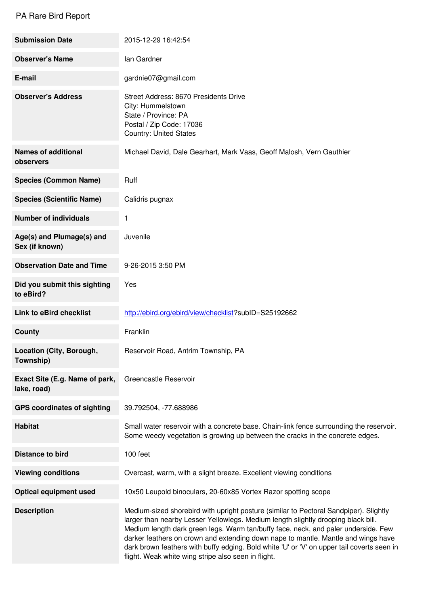## PA Rare Bird Report

| <b>Submission Date</b>                        | 2015-12-29 16:42:54                                                                                                                                                                                                                                                                                                                                                                                                                                                                                        |
|-----------------------------------------------|------------------------------------------------------------------------------------------------------------------------------------------------------------------------------------------------------------------------------------------------------------------------------------------------------------------------------------------------------------------------------------------------------------------------------------------------------------------------------------------------------------|
| <b>Observer's Name</b>                        | lan Gardner                                                                                                                                                                                                                                                                                                                                                                                                                                                                                                |
| E-mail                                        | gardnie07@gmail.com                                                                                                                                                                                                                                                                                                                                                                                                                                                                                        |
| <b>Observer's Address</b>                     | Street Address: 8670 Presidents Drive<br>City: Hummelstown<br>State / Province: PA<br>Postal / Zip Code: 17036<br><b>Country: United States</b>                                                                                                                                                                                                                                                                                                                                                            |
| <b>Names of additional</b><br>observers       | Michael David, Dale Gearhart, Mark Vaas, Geoff Malosh, Vern Gauthier                                                                                                                                                                                                                                                                                                                                                                                                                                       |
| <b>Species (Common Name)</b>                  | Ruff                                                                                                                                                                                                                                                                                                                                                                                                                                                                                                       |
| <b>Species (Scientific Name)</b>              | Calidris pugnax                                                                                                                                                                                                                                                                                                                                                                                                                                                                                            |
| <b>Number of individuals</b>                  | 1                                                                                                                                                                                                                                                                                                                                                                                                                                                                                                          |
| Age(s) and Plumage(s) and<br>Sex (if known)   | Juvenile                                                                                                                                                                                                                                                                                                                                                                                                                                                                                                   |
| <b>Observation Date and Time</b>              | 9-26-2015 3:50 PM                                                                                                                                                                                                                                                                                                                                                                                                                                                                                          |
| Did you submit this sighting<br>to eBird?     | Yes                                                                                                                                                                                                                                                                                                                                                                                                                                                                                                        |
| <b>Link to eBird checklist</b>                | http://ebird.org/ebird/view/checklist?subID=S25192662                                                                                                                                                                                                                                                                                                                                                                                                                                                      |
| <b>County</b>                                 | Franklin                                                                                                                                                                                                                                                                                                                                                                                                                                                                                                   |
| Location (City, Borough,<br>Township)         | Reservoir Road, Antrim Township, PA                                                                                                                                                                                                                                                                                                                                                                                                                                                                        |
| Exact Site (E.g. Name of park,<br>lake, road) | Greencastle Reservoir                                                                                                                                                                                                                                                                                                                                                                                                                                                                                      |
| <b>GPS coordinates of sighting</b>            | 39.792504, -77.688986                                                                                                                                                                                                                                                                                                                                                                                                                                                                                      |
| <b>Habitat</b>                                | Small water reservoir with a concrete base. Chain-link fence surrounding the reservoir.<br>Some weedy vegetation is growing up between the cracks in the concrete edges.                                                                                                                                                                                                                                                                                                                                   |
| <b>Distance to bird</b>                       | 100 feet                                                                                                                                                                                                                                                                                                                                                                                                                                                                                                   |
| <b>Viewing conditions</b>                     | Overcast, warm, with a slight breeze. Excellent viewing conditions                                                                                                                                                                                                                                                                                                                                                                                                                                         |
| <b>Optical equipment used</b>                 | 10x50 Leupold binoculars, 20-60x85 Vortex Razor spotting scope                                                                                                                                                                                                                                                                                                                                                                                                                                             |
| <b>Description</b>                            | Medium-sized shorebird with upright posture (similar to Pectoral Sandpiper). Slightly<br>larger than nearby Lesser Yellowlegs. Medium length slightly drooping black bill.<br>Medium length dark green legs. Warm tan/buffy face, neck, and paler underside. Few<br>darker feathers on crown and extending down nape to mantle. Mantle and wings have<br>dark brown feathers with buffy edging. Bold white 'U' or 'V' on upper tail coverts seen in<br>flight. Weak white wing stripe also seen in flight. |